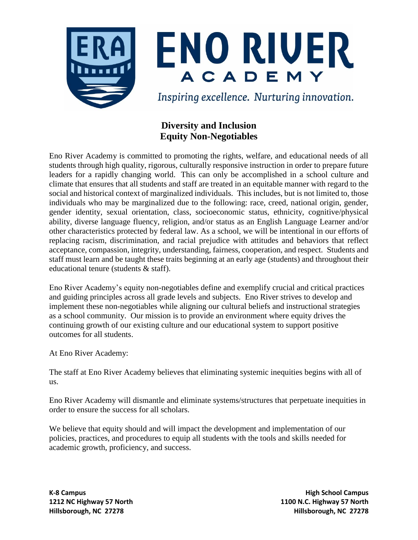

**ENO RIVER ACADEMY** 

Inspiring excellence. Nurturing innovation.

## **Diversity and Inclusion Equity Non-Negotiables**

Eno River Academy is committed to promoting the rights, welfare, and educational needs of all students through high quality, rigorous, culturally responsive instruction in order to prepare future leaders for a rapidly changing world. This can only be accomplished in a school culture and climate that ensures that all students and staff are treated in an equitable manner with regard to the social and historical context of marginalized individuals. This includes, but is not limited to, those individuals who may be marginalized due to the following: race, creed, national origin, gender, gender identity, sexual orientation, class, socioeconomic status, ethnicity, cognitive/physical ability, diverse language fluency, religion, and/or status as an English Language Learner and/or other characteristics protected by federal law. As a school, we will be intentional in our efforts of replacing racism, discrimination, and racial prejudice with attitudes and behaviors that reflect acceptance, compassion, integrity, understanding, fairness, cooperation, and respect. Students and staff must learn and be taught these traits beginning at an early age (students) and throughout their educational tenure (students & staff).

Eno River Academy's equity non-negotiables define and exemplify crucial and critical practices and guiding principles across all grade levels and subjects. Eno River strives to develop and implement these non-negotiables while aligning our cultural beliefs and instructional strategies as a school community. Our mission is to provide an environment where equity drives the continuing growth of our existing culture and our educational system to support positive outcomes for all students.

At Eno River Academy:

The staff at Eno River Academy believes that eliminating systemic inequities begins with all of us.

Eno River Academy will dismantle and eliminate systems/structures that perpetuate inequities in order to ensure the success for all scholars.

We believe that equity should and will impact the development and implementation of our policies, practices, and procedures to equip all students with the tools and skills needed for academic growth, proficiency, and success.